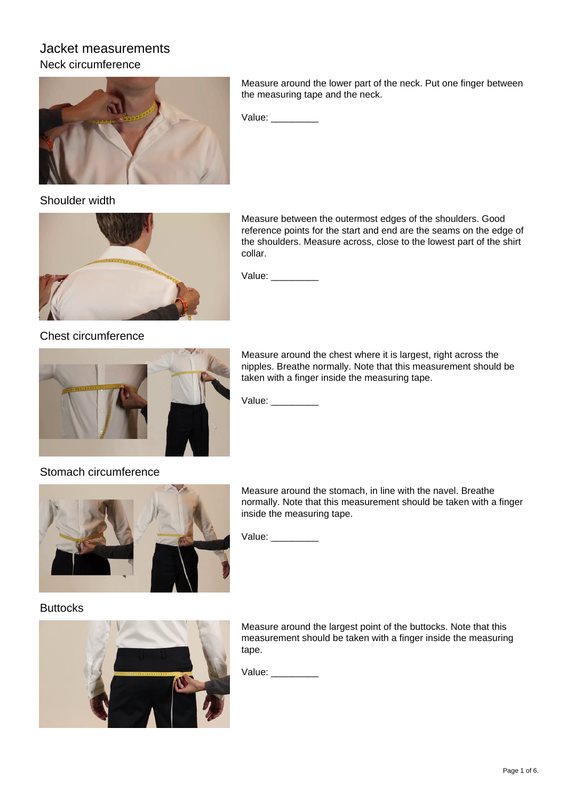# Jacket measurements Neck circumference



Shoulder width



Chest circumference



Measure around the lower part of the neck. Put one finger between the measuring tape and the neck.

Value: \_\_\_\_\_\_\_\_\_\_

Measure between the outermost edges of the shoulders. Good reference points for the start and end are the seams on the edge of the shoulders. Measure across, close to the lowest part of the shirt collar.

Value:

Measure around the chest where it is largest, right across the nipples. Breathe normally. Note that this measurement should be taken with a finger inside the measuring tape.

Value: \_\_\_\_\_\_\_\_\_\_

Stomach circumference



Measure around the stomach, in line with the navel. Breathe normally. Note that this measurement should be taken with a finger inside the measuring tape.

Value: \_\_\_\_\_\_\_\_\_\_

#### **Buttocks**



Measure around the largest point of the buttocks. Note that this measurement should be taken with a finger inside the measuring tape.

Value: \_\_\_\_\_\_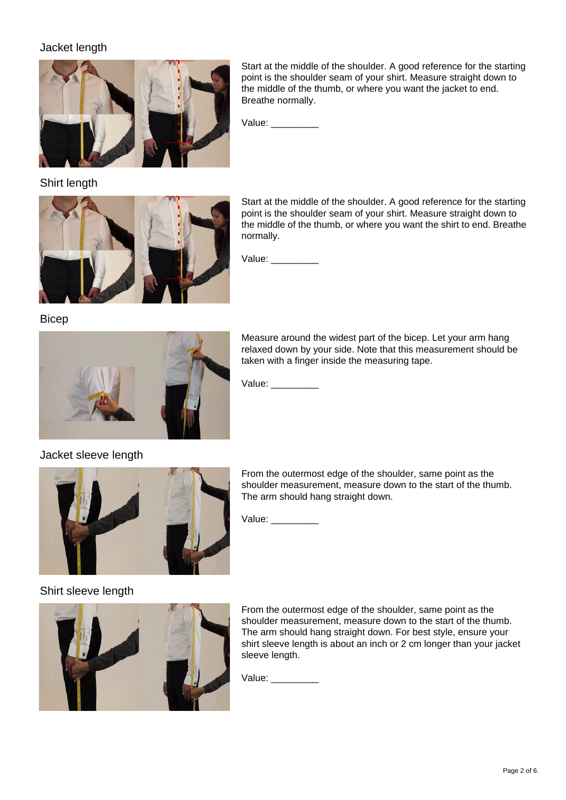### Jacket length



Start at the middle of the shoulder. A good reference for the starting point is the shoulder seam of your shirt. Measure straight down to the middle of the thumb, or where you want the jacket to end. Breathe normally.

Value: \_\_\_\_\_

Shirt length



Start at the middle of the shoulder. A good reference for the starting point is the shoulder seam of your shirt. Measure straight down to the middle of the thumb, or where you want the shirt to end. Breathe normally.

Value: \_\_\_\_\_\_\_\_\_\_

**Bicep** 



Measure around the widest part of the bicep. Let your arm hang relaxed down by your side. Note that this measurement should be taken with a finger inside the measuring tape.

Value: \_\_\_\_\_\_\_\_\_\_

Jacket sleeve length



From the outermost edge of the shoulder, same point as the shoulder measurement, measure down to the start of the thumb. The arm should hang straight down.

Value: \_\_\_\_\_\_\_\_\_\_

#### Shirt sleeve length



From the outermost edge of the shoulder, same point as the shoulder measurement, measure down to the start of the thumb. The arm should hang straight down. For best style, ensure your shirt sleeve length is about an inch or 2 cm longer than your jacket sleeve length.

Value: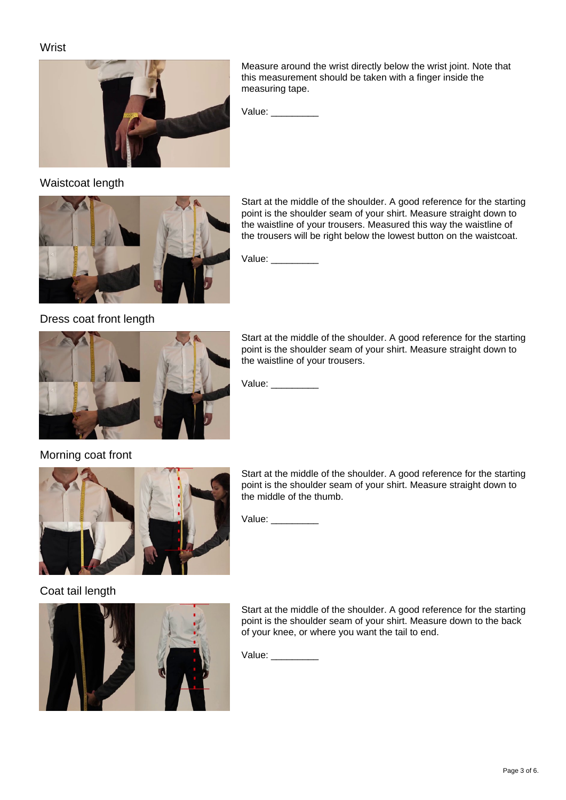#### **Wrist**



Measure around the wrist directly below the wrist joint. Note that this measurement should be taken with a finger inside the measuring tape.

Value: \_\_\_\_\_\_

### Waistcoat length



Start at the middle of the shoulder. A good reference for the starting point is the shoulder seam of your shirt. Measure straight down to the waistline of your trousers. Measured this way the waistline of the trousers will be right below the lowest button on the waistcoat.

Value: \_\_\_\_\_\_\_\_\_\_

#### Dress coat front length



Start at the middle of the shoulder. A good reference for the starting point is the shoulder seam of your shirt. Measure straight down to the waistline of your trousers.

Value: \_\_\_\_\_\_\_\_\_\_

#### Morning coat front



Start at the middle of the shoulder. A good reference for the starting point is the shoulder seam of your shirt. Measure straight down to the middle of the thumb.

Value: \_\_\_\_\_\_\_\_\_

#### Coat tail length



Start at the middle of the shoulder. A good reference for the starting point is the shoulder seam of your shirt. Measure down to the back of your knee, or where you want the tail to end.

Value: \_\_\_\_\_\_\_\_\_\_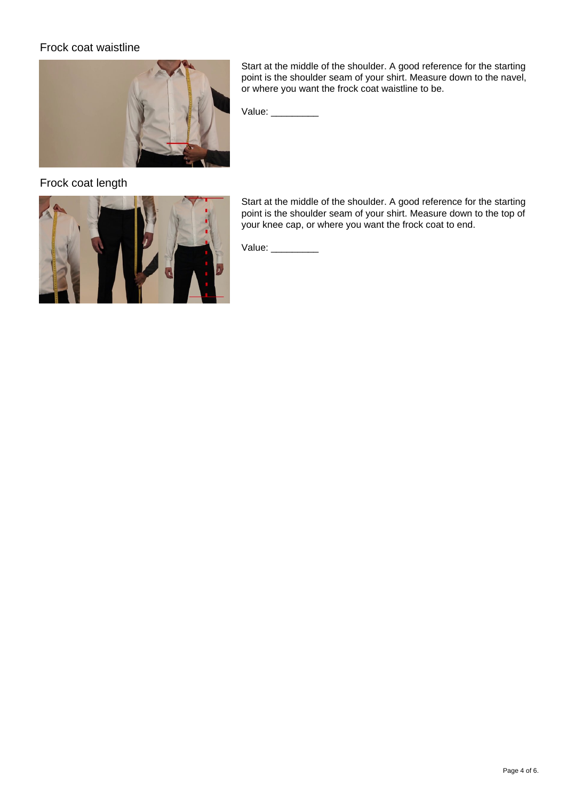#### Frock coat waistline



Start at the middle of the shoulder. A good reference for the starting point is the shoulder seam of your shirt. Measure down to the navel, or where you want the frock coat waistline to be.

Value: \_\_\_\_\_\_\_\_\_\_

Frock coat length



Start at the middle of the shoulder. A good reference for the starting point is the shoulder seam of your shirt. Measure down to the top of your knee cap, or where you want the frock coat to end.

Value: \_\_\_\_\_\_\_\_\_\_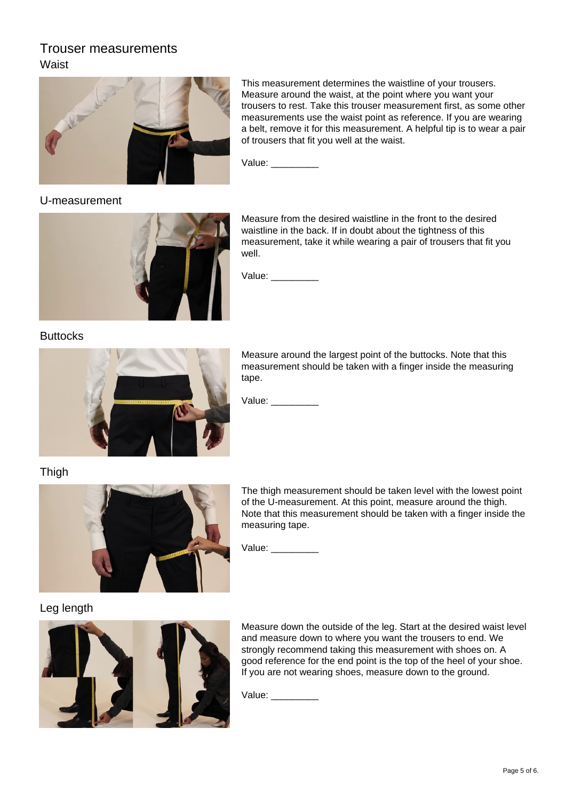# Trouser measurements Waist



This measurement determines the waistline of your trousers. Measure around the waist, at the point where you want your trousers to rest. Take this trouser measurement first, as some other measurements use the waist point as reference. If you are wearing a belt, remove it for this measurement. A helpful tip is to wear a pair of trousers that fit you well at the waist.

Value:

U-measurement



Measure from the desired waistline in the front to the desired waistline in the back. If in doubt about the tightness of this measurement, take it while wearing a pair of trousers that fit you well.

Value:

**Buttocks** 



Measure around the largest point of the buttocks. Note that this measurement should be taken with a finger inside the measuring tape.

Value:

Thigh



The thigh measurement should be taken level with the lowest point of the U-measurement. At this point, measure around the thigh. Note that this measurement should be taken with a finger inside the measuring tape.

Value: \_\_\_\_\_\_\_\_\_\_

#### Leg length



Measure down the outside of the leg. Start at the desired waist level and measure down to where you want the trousers to end. We strongly recommend taking this measurement with shoes on. A good reference for the end point is the top of the heel of your shoe. If you are not wearing shoes, measure down to the ground.

Value: